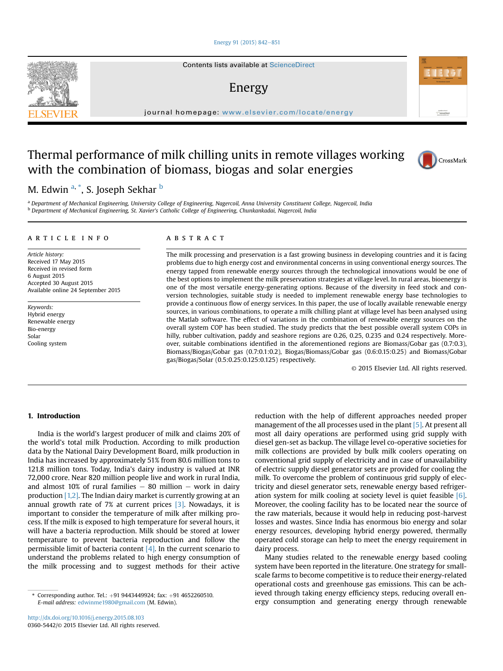#### [Energy 91 \(2015\) 842](http://dx.doi.org/10.1016/j.energy.2015.08.103)-[851](http://dx.doi.org/10.1016/j.energy.2015.08.103)

Contents lists available at ScienceDirect

## Energy

journal homepage: [www.elsevier.com/locate/energy](http://www.elsevier.com/locate/energy)

# Thermal performance of milk chilling units in remote villages working with the combination of biomass, biogas and solar energies



Automotive at<br>ScienceDires

M. Edwin <sup>a, \*</sup>, S. Joseph Sekhar <sup>b</sup>

<sup>a</sup> Department of Mechanical Engineering, University College of Engineering, Nagercoil, Anna University Constituent College, Nagercoil, India **b Department of Mechanical Engineering, St. Xavier's Catholic College of Engineering, Chunkankadai, Nagercoil, India** 

#### article info

Article history: Received 17 May 2015 Received in revised form 6 August 2015 Accepted 30 August 2015 Available online 24 September 2015

Keywords: Hybrid energy Renewable energy Bio-energy Solar Cooling system

### ABSTRACT

The milk processing and preservation is a fast growing business in developing countries and it is facing problems due to high energy cost and environmental concerns in using conventional energy sources. The energy tapped from renewable energy sources through the technological innovations would be one of the best options to implement the milk preservation strategies at village level. In rural areas, bioenergy is one of the most versatile energy-generating options. Because of the diversity in feed stock and conversion technologies, suitable study is needed to implement renewable energy base technologies to provide a continuous flow of energy services. In this paper, the use of locally available renewable energy sources, in various combinations, to operate a milk chilling plant at village level has been analysed using the Matlab software. The effect of variations in the combination of renewable energy sources on the overall system COP has been studied. The study predicts that the best possible overall system COPs in hilly, rubber cultivation, paddy and seashore regions are 0.26, 0.25, 0.235 and 0.24 respectively. Moreover, suitable combinations identified in the aforementioned regions are Biomass/Gobar gas (0.7:0.3), Biomass/Biogas/Gobar gas (0.7:0.1:0.2), Biogas/Biomass/Gobar gas (0.6:0.15:0.25) and Biomass/Gobar gas/Biogas/Solar (0.5:0.25:0.125:0.125) respectively.

© 2015 Elsevier Ltd. All rights reserved.

## 1. Introduction

India is the world's largest producer of milk and claims 20% of the world's total milk Production. According to milk production data by the National Dairy Development Board, milk production in India has increased by approximately 51% from 80.6 million tons to 121.8 million tons. Today, India's dairy industry is valued at INR 72,000 crore. Near 820 million people live and work in rural India, and almost 10% of rural families  $-$  80 million  $-$  work in dairy production  $[1,2]$ . The Indian dairy market is currently growing at an annual growth rate of 7% at current prices [3]. Nowadays, it is important to consider the temperature of milk after milking process. If the milk is exposed to high temperature for several hours, it will have a bacteria reproduction. Milk should be stored at lower temperature to prevent bacteria reproduction and follow the permissible limit of bacteria content  $[4]$ . In the current scenario to understand the problems related to high energy consumption of the milk processing and to suggest methods for their active

reduction with the help of different approaches needed proper management of the all processes used in the plant [5]. At present all most all dairy operations are performed using grid supply with diesel gen-set as backup. The village level co-operative societies for milk collections are provided by bulk milk coolers operating on conventional grid supply of electricity and in case of unavailability of electric supply diesel generator sets are provided for cooling the milk. To overcome the problem of continuous grid supply of electricity and diesel generator sets, renewable energy based refrigeration system for milk cooling at society level is quiet feasible [6]. Moreover, the cooling facility has to be located near the source of the raw materials, because it would help in reducing post-harvest losses and wastes. Since India has enormous bio energy and solar energy resources, developing hybrid energy powered, thermally operated cold storage can help to meet the energy requirement in dairy process.

Many studies related to the renewable energy based cooling system have been reported in the literature. One strategy for smallscale farms to become competitive is to reduce their energy-related operational costs and greenhouse gas emissions. This can be achieved through taking energy efficiency steps, reducing overall energy consumption and generating energy through renewable



<sup>\*</sup> Corresponding author. Tel.:  $+91$  9443449924; fax:  $+91$  4652260510. E-mail address: [edwinme1980@gmail.com](mailto:edwinme1980@gmail.com) (M. Edwin).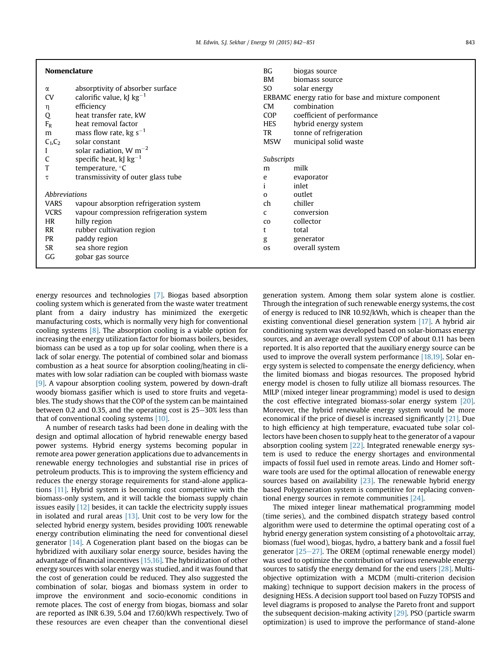| $\sim$ |  |
|--------|--|

| <b>Nomenclature</b> |                                         | BG<br>BM    | biogas source<br>biomass source                    |  |
|---------------------|-----------------------------------------|-------------|----------------------------------------------------|--|
| α                   | absorptivity of absorber surface        | SO          | solar energy                                       |  |
| <b>CV</b>           | calorific value, kJ $kg^{-1}$           |             | ERBAMC energy ratio for base and mixture component |  |
| η                   | efficiency                              | <b>CM</b>   | combination                                        |  |
| Q                   | heat transfer rate, kW                  | COP         | coefficient of performance                         |  |
| $F_R$               | heat removal factor                     | <b>HES</b>  | hybrid energy system                               |  |
| m                   | mass flow rate, kg $s^{-1}$             | TR          | tonne of refrigeration                             |  |
| $C_1, C_2$          | solar constant                          | <b>MSW</b>  | municipal solid waste                              |  |
|                     | solar radiation, $W m^{-2}$             |             |                                                    |  |
| C                   | specific heat, $k$ J $kg^{-1}$          |             | Subscripts                                         |  |
| т                   | temperature, °C                         | m           | milk                                               |  |
| τ                   | transmissivity of outer glass tube      | e           | evaporator                                         |  |
|                     |                                         |             | inlet                                              |  |
| Abbreviations       |                                         | $\Omega$    | outlet                                             |  |
| <b>VARS</b>         | vapour absorption refrigeration system  | ch          | chiller                                            |  |
| <b>VCRS</b>         | vapour compression refrigeration system | C           | conversion                                         |  |
| HR                  | hilly region                            | $_{\rm CO}$ | collector                                          |  |
| <b>RR</b>           | rubber cultivation region               | t           | total                                              |  |
| <b>PR</b>           | paddy region                            | g           | generator                                          |  |
| <b>SR</b>           | sea shore region                        | <b>OS</b>   | overall system                                     |  |
| GG                  | gobar gas source                        |             |                                                    |  |
|                     |                                         |             |                                                    |  |

energy resources and technologies [7]. Biogas based absorption cooling system which is generated from the waste water treatment plant from a dairy industry has minimized the exergetic manufacturing costs, which is normally very high for conventional cooling systems [8]. The absorption cooling is a viable option for increasing the energy utilization factor for biomass boilers, besides, biomass can be used as a top up for solar cooling, when there is a lack of solar energy. The potential of combined solar and biomass combustion as a heat source for absorption cooling/heating in climates with low solar radiation can be coupled with biomass waste [9]. A vapour absorption cooling system, powered by down-draft woody biomass gasifier which is used to store fruits and vegetables. The study shows that the COP of the system can be maintained between 0.2 and 0.35, and the operating cost is  $25-30\%$  less than that of conventional cooling systems [10].

A number of research tasks had been done in dealing with the design and optimal allocation of hybrid renewable energy based power systems. Hybrid energy systems becoming popular in remote area power generation applications due to advancements in renewable energy technologies and substantial rise in prices of petroleum products. This is to improving the system efficiency and reduces the energy storage requirements for stand-alone applications [11]. Hybrid system is becoming cost competitive with the biomass-only system, and it will tackle the biomass supply chain issues easily [12] besides, it can tackle the electricity supply issues in isolated and rural areas  $[13]$ . Unit cost to be very low for the selected hybrid energy system, besides providing 100% renewable energy contribution eliminating the need for conventional diesel generator [14]. A Cogeneration plant based on the biogas can be hybridized with auxiliary solar energy source, besides having the advantage of financial incentives [15,16]. The hybridization of other energy sources with solar energy was studied, and it was found that the cost of generation could be reduced. They also suggested the combination of solar, biogas and biomass system in order to improve the environment and socio-economic conditions in remote places. The cost of energy from biogas, biomass and solar are reported as INR 6.39, 5.04 and 17.60/kWh respectively. Two of these resources are even cheaper than the conventional diesel

generation system. Among them solar system alone is costlier. Through the integration of such renewable energy systems, the cost of energy is reduced to INR 10.92/kWh, which is cheaper than the existing conventional diesel generation system [17]. A hybrid air conditioning system was developed based on solar-biomass energy sources, and an average overall system COP of about 0.11 has been reported. It is also reported that the auxiliary energy source can be used to improve the overall system performance [18,19]. Solar energy system is selected to compensate the energy deficiency, when the limited biomass and biogas resources. The proposed hybrid energy model is chosen to fully utilize all biomass resources. The MILP (mixed integer linear programming) model is used to design the cost effective integrated biomass-solar energy system [20]. Moreover, the hybrid renewable energy system would be more economical if the price of diesel is increased significantly [21]. Due to high efficiency at high temperature, evacuated tube solar collectors have been chosen to supply heat to the generator of a vapour absorption cooling system [22]. Integrated renewable energy system is used to reduce the energy shortages and environmental impacts of fossil fuel used in remote areas. Lindo and Homer software tools are used for the optimal allocation of renewable energy sources based on availability  $[23]$ . The renewable hybrid energy based Polygeneration system is competitive for replacing conventional energy sources in remote communities [24].

The mixed integer linear mathematical programming model (time series), and the combined dispatch strategy based control algorithm were used to determine the optimal operating cost of a hybrid energy generation system consisting of a photovoltaic array, biomass (fuel wood), biogas, hydro, a battery bank and a fossil fuel generator  $[25-27]$ . The OREM (optimal renewable energy model) was used to optimize the contribution of various renewable energy sources to satisfy the energy demand for the end users [28]. Multiobjective optimization with a MCDM (multi-criterion decision making) technique to support decision makers in the process of designing HESs. A decision support tool based on Fuzzy TOPSIS and level diagrams is proposed to analyse the Pareto front and support the subsequent decision-making activity [29]. PSO (particle swarm optimization) is used to improve the performance of stand-alone